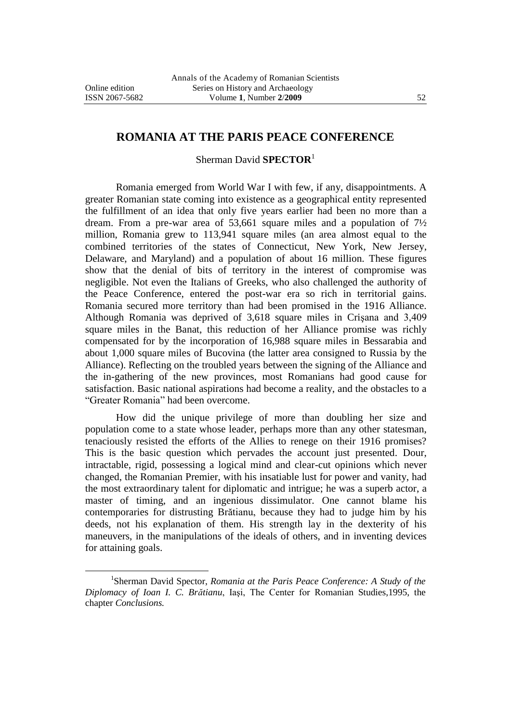$\overline{a}$ 

## **ROMANIA AT THE PARIS PEACE CONFERENCE**

## Sherman David **SPECTOR**<sup>1</sup>

Romania emerged from World War I with few, if any, disappointments. A greater Romanian state coming into existence as a geographical entity represented the fulfillment of an idea that only five years earlier had been no more than a dream. From a pre-war area of 53,661 square miles and a population of  $7\frac{1}{2}$ million, Romania grew to 113,941 square miles (an area almost equal to the combined territories of the states of Connecticut, New York, New Jersey, Delaware, and Maryland) and a population of about 16 million. These figures show that the denial of bits of territory in the interest of compromise was negligible. Not even the Italians of Greeks, who also challenged the authority of the Peace Conference, entered the post-war era so rich in territorial gains. Romania secured more territory than had been promised in the 1916 Alliance. Although Romania was deprived of 3,618 square miles in Crişana and 3,409 square miles in the Banat, this reduction of her Alliance promise was richly compensated for by the incorporation of 16,988 square miles in Bessarabia and about 1,000 square miles of Bucovina (the latter area consigned to Russia by the Alliance). Reflecting on the troubled years between the signing of the Alliance and the in-gathering of the new provinces, most Romanians had good cause for satisfaction. Basic national aspirations had become a reality, and the obstacles to a "Greater Romania" had been overcome.

How did the unique privilege of more than doubling her size and population come to a state whose leader, perhaps more than any other statesman, tenaciously resisted the efforts of the Allies to renege on their 1916 promises? This is the basic question which pervades the account just presented. Dour, intractable, rigid, possessing a logical mind and clear-cut opinions which never changed, the Romanian Premier, with his insatiable lust for power and vanity, had the most extraordinary talent for diplomatic and intrigue; he was a superb actor, a master of timing, and an ingenious dissimulator. One cannot blame his contemporaries for distrusting Brătianu, because they had to judge him by his deeds, not his explanation of them. His strength lay in the dexterity of his maneuvers, in the manipulations of the ideals of others, and in inventing devices for attaining goals.

<sup>&</sup>lt;sup>1</sup>Sherman David Spector, *Romania at the Paris Peace Conference: A Study of the Diplomacy of Ioan I. C. Brătianu*, Iaşi, The Center for Romanian Studies,1995, the chapter *Conclusions.*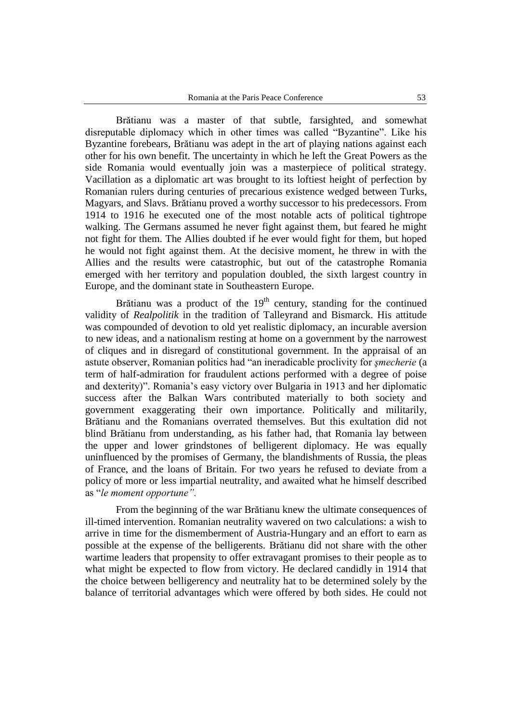Brătianu was a master of that subtle, farsighted, and somewhat disreputable diplomacy which in other times was called "Byzantine". Like his Byzantine forebears, Brătianu was adept in the art of playing nations against each other for his own benefit. The uncertainty in which he left the Great Powers as the side Romania would eventually join was a masterpiece of political strategy. Vacillation as a diplomatic art was brought to its loftiest height of perfection by Romanian rulers during centuries of precarious existence wedged between Turks, Magyars, and Slavs. Brătianu proved a worthy successor to his predecessors. From 1914 to 1916 he executed one of the most notable acts of political tightrope walking. The Germans assumed he never fight against them, but feared he might not fight for them. The Allies doubted if he ever would fight for them, but hoped he would not fight against them. At the decisive moment, he threw in with the Allies and the results were catastrophic, but out of the catastrophe Romania emerged with her territory and population doubled, the sixth largest country in Europe, and the dominant state in Southeastern Europe.

Brătianu was a product of the  $19<sup>th</sup>$  century, standing for the continued validity of *Realpolitik* in the tradition of Talleyrand and Bismarck. His attitude was compounded of devotion to old yet realistic diplomacy, an incurable aversion to new ideas, and a nationalism resting at home on a government by the narrowest of cliques and in disregard of constitutional government. In the appraisal of an astute observer, Romanian politics had "an ineradicable proclivity for *şmecherie* (a term of half-admiration for fraudulent actions performed with a degree of poise and dexterity)". Romania's easy victory over Bulgaria in 1913 and her diplomatic success after the Balkan Wars contributed materially to both society and government exaggerating their own importance. Politically and militarily, Brătianu and the Romanians overrated themselves. But this exultation did not blind Brătianu from understanding, as his father had, that Romania lay between the upper and lower grindstones of belligerent diplomacy. He was equally uninfluenced by the promises of Germany, the blandishments of Russia, the pleas of France, and the loans of Britain. For two years he refused to deviate from a policy of more or less impartial neutrality, and awaited what he himself described as "*le moment opportune".*

From the beginning of the war Brătianu knew the ultimate consequences of ill-timed intervention. Romanian neutrality wavered on two calculations: a wish to arrive in time for the dismemberment of Austria-Hungary and an effort to earn as possible at the expense of the belligerents. Brătianu did not share with the other wartime leaders that propensity to offer extravagant promises to their people as to what might be expected to flow from victory. He declared candidly in 1914 that the choice between belligerency and neutrality hat to be determined solely by the balance of territorial advantages which were offered by both sides. He could not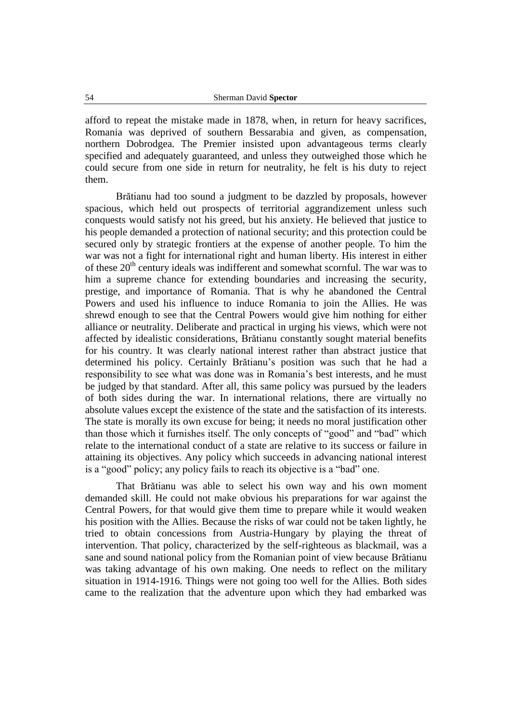afford to repeat the mistake made in 1878, when, in return for heavy sacrifices, Romania was deprived of southern Bessarabia and given, as compensation, northern Dobrodgea. The Premier insisted upon advantageous terms clearly specified and adequately guaranteed, and unless they outweighed those which he could secure from one side in return for neutrality, he felt is his duty to reject them.

Brătianu had too sound a judgment to be dazzled by proposals, however spacious, which held out prospects of territorial aggrandizement unless such conquests would satisfy not his greed, but his anxiety. He believed that justice to his people demanded a protection of national security; and this protection could be secured only by strategic frontiers at the expense of another people. To him the war was not a fight for international right and human liberty. His interest in either of these  $20<sup>th</sup>$  century ideals was indifferent and somewhat scornful. The war was to him a supreme chance for extending boundaries and increasing the security, prestige, and importance of Romania. That is why he abandoned the Central Powers and used his influence to induce Romania to join the Allies. He was shrewd enough to see that the Central Powers would give him nothing for either alliance or neutrality. Deliberate and practical in urging his views, which were not affected by idealistic considerations, Brătianu constantly sought material benefits for his country. It was clearly national interest rather than abstract justice that determined his policy. Certainly Brătianu's position was such that he had a responsibility to see what was done was in Romania's best interests, and he must be judged by that standard. After all, this same policy was pursued by the leaders of both sides during the war. In international relations, there are virtually no absolute values except the existence of the state and the satisfaction of its interests. The state is morally its own excuse for being; it needs no moral justification other than those which it furnishes itself. The only concepts of "good" and "bad" which relate to the international conduct of a state are relative to its success or failure in attaining its objectives. Any policy which succeeds in advancing national interest is a "good" policy; any policy fails to reach its objective is a "bad" one.

That Brătianu was able to select his own way and his own moment demanded skill. He could not make obvious his preparations for war against the Central Powers, for that would give them time to prepare while it would weaken his position with the Allies. Because the risks of war could not be taken lightly, he tried to obtain concessions from Austria-Hungary by playing the threat of intervention. That policy, characterized by the self-righteous as blackmail, was a sane and sound national policy from the Romanian point of view because Brătianu was taking advantage of his own making. One needs to reflect on the military situation in 1914-1916. Things were not going too well for the Allies. Both sides came to the realization that the adventure upon which they had embarked was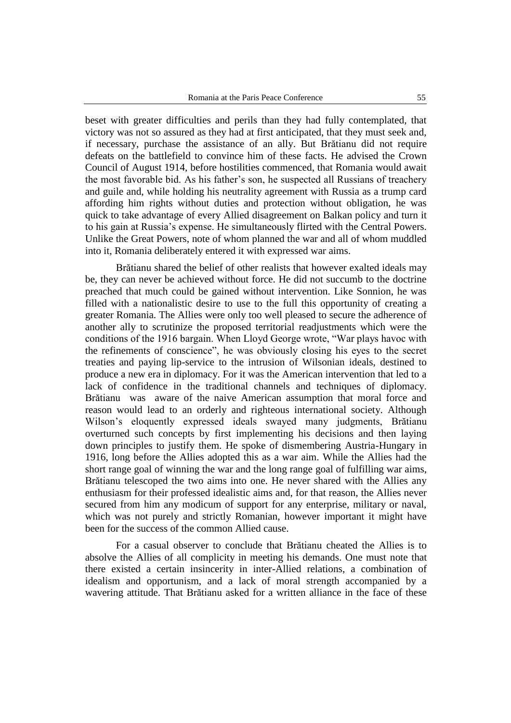beset with greater difficulties and perils than they had fully contemplated, that victory was not so assured as they had at first anticipated, that they must seek and, if necessary, purchase the assistance of an ally. But Brătianu did not require defeats on the battlefield to convince him of these facts. He advised the Crown Council of August 1914, before hostilities commenced, that Romania would await the most favorable bid. As his father's son, he suspected all Russians of treachery and guile and, while holding his neutrality agreement with Russia as a trump card affording him rights without duties and protection without obligation, he was quick to take advantage of every Allied disagreement on Balkan policy and turn it to his gain at Russia's expense. He simultaneously flirted with the Central Powers. Unlike the Great Powers, note of whom planned the war and all of whom muddled into it, Romania deliberately entered it with expressed war aims.

Brătianu shared the belief of other realists that however exalted ideals may be, they can never be achieved without force. He did not succumb to the doctrine preached that much could be gained without intervention. Like Sonnion, he was filled with a nationalistic desire to use to the full this opportunity of creating a greater Romania. The Allies were only too well pleased to secure the adherence of another ally to scrutinize the proposed territorial readjustments which were the conditions of the 1916 bargain. When Lloyd George wrote, "War plays havoc with the refinements of conscience", he was obviously closing his eyes to the secret treaties and paying lip-service to the intrusion of Wilsonian ideals, destined to produce a new era in diplomacy. For it was the American intervention that led to a lack of confidence in the traditional channels and techniques of diplomacy. Brătianu was aware of the naive American assumption that moral force and reason would lead to an orderly and righteous international society. Although Wilson's eloquently expressed ideals swayed many judgments, Brătianu overturned such concepts by first implementing his decisions and then laying down principles to justify them. He spoke of dismembering Austria-Hungary in 1916, long before the Allies adopted this as a war aim. While the Allies had the short range goal of winning the war and the long range goal of fulfilling war aims, Brătianu telescoped the two aims into one. He never shared with the Allies any enthusiasm for their professed idealistic aims and, for that reason, the Allies never secured from him any modicum of support for any enterprise, military or naval, which was not purely and strictly Romanian, however important it might have been for the success of the common Allied cause.

For a casual observer to conclude that Brătianu cheated the Allies is to absolve the Allies of all complicity in meeting his demands. One must note that there existed a certain insincerity in inter-Allied relations, a combination of idealism and opportunism, and a lack of moral strength accompanied by a wavering attitude. That Brătianu asked for a written alliance in the face of these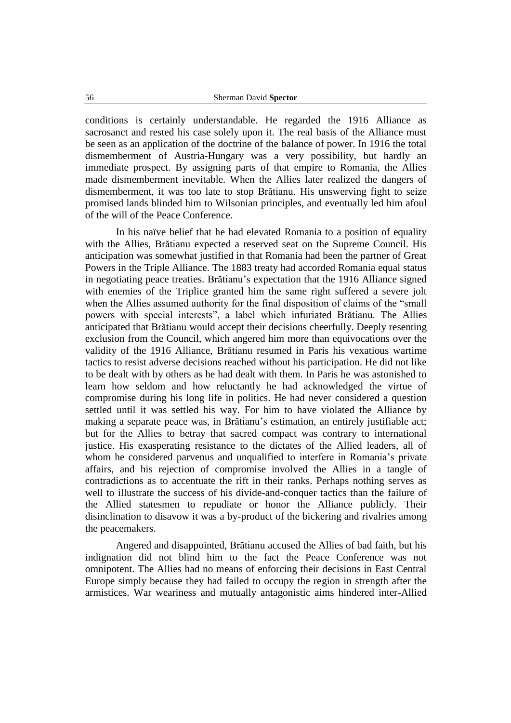conditions is certainly understandable. He regarded the 1916 Alliance as sacrosanct and rested his case solely upon it. The real basis of the Alliance must be seen as an application of the doctrine of the balance of power. In 1916 the total dismemberment of Austria-Hungary was a very possibility, but hardly an immediate prospect. By assigning parts of that empire to Romania, the Allies made dismemberment inevitable. When the Allies later realized the dangers of dismemberment, it was too late to stop Brătianu. His unswerving fight to seize promised lands blinded him to Wilsonian principles, and eventually led him afoul of the will of the Peace Conference.

In his naïve belief that he had elevated Romania to a position of equality with the Allies, Brătianu expected a reserved seat on the Supreme Council. His anticipation was somewhat justified in that Romania had been the partner of Great Powers in the Triple Alliance. The 1883 treaty had accorded Romania equal status in negotiating peace treaties. Brătianu's expectation that the 1916 Alliance signed with enemies of the Triplice granted him the same right suffered a severe jolt when the Allies assumed authority for the final disposition of claims of the "small powers with special interests", a label which infuriated Brătianu. The Allies anticipated that Brătianu would accept their decisions cheerfully. Deeply resenting exclusion from the Council, which angered him more than equivocations over the validity of the 1916 Alliance, Brătianu resumed in Paris his vexatious wartime tactics to resist adverse decisions reached without his participation. He did not like to be dealt with by others as he had dealt with them. In Paris he was astonished to learn how seldom and how reluctantly he had acknowledged the virtue of compromise during his long life in politics. He had never considered a question settled until it was settled his way. For him to have violated the Alliance by making a separate peace was, in Brătianu's estimation, an entirely justifiable act; but for the Allies to betray that sacred compact was contrary to international justice. His exasperating resistance to the dictates of the Allied leaders, all of whom he considered parvenus and unqualified to interfere in Romania's private affairs, and his rejection of compromise involved the Allies in a tangle of contradictions as to accentuate the rift in their ranks. Perhaps nothing serves as well to illustrate the success of his divide-and-conquer tactics than the failure of the Allied statesmen to repudiate or honor the Alliance publicly. Their disinclination to disavow it was a by-product of the bickering and rivalries among the peacemakers.

Angered and disappointed, Brătianu accused the Allies of bad faith, but his indignation did not blind him to the fact the Peace Conference was not omnipotent. The Allies had no means of enforcing their decisions in East Central Europe simply because they had failed to occupy the region in strength after the armistices. War weariness and mutually antagonistic aims hindered inter-Allied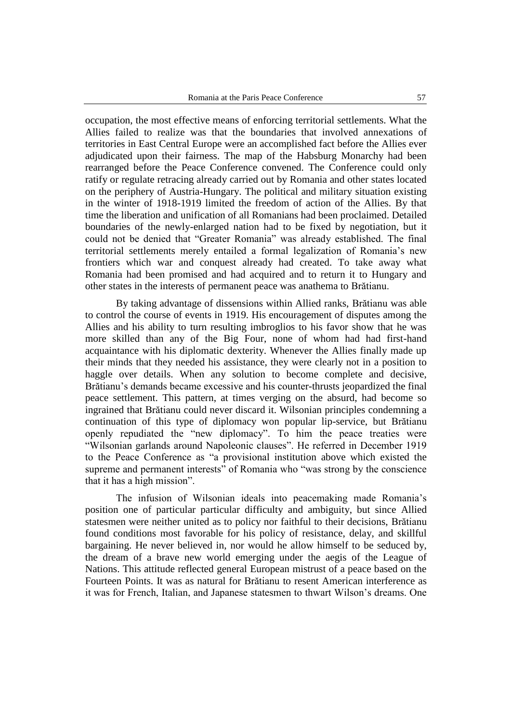occupation, the most effective means of enforcing territorial settlements. What the Allies failed to realize was that the boundaries that involved annexations of territories in East Central Europe were an accomplished fact before the Allies ever adjudicated upon their fairness. The map of the Habsburg Monarchy had been rearranged before the Peace Conference convened. The Conference could only ratify or regulate retracing already carried out by Romania and other states located on the periphery of Austria-Hungary. The political and military situation existing in the winter of 1918-1919 limited the freedom of action of the Allies. By that time the liberation and unification of all Romanians had been proclaimed. Detailed boundaries of the newly-enlarged nation had to be fixed by negotiation, but it could not be denied that "Greater Romania" was already established. The final territorial settlements merely entailed a formal legalization of Romania's new frontiers which war and conquest already had created. To take away what Romania had been promised and had acquired and to return it to Hungary and other states in the interests of permanent peace was anathema to Brătianu.

By taking advantage of dissensions within Allied ranks, Brătianu was able to control the course of events in 1919. His encouragement of disputes among the Allies and his ability to turn resulting imbroglios to his favor show that he was more skilled than any of the Big Four, none of whom had had first-hand acquaintance with his diplomatic dexterity. Whenever the Allies finally made up their minds that they needed his assistance, they were clearly not in a position to haggle over details. When any solution to become complete and decisive, Brătianu's demands became excessive and his counter-thrusts jeopardized the final peace settlement. This pattern, at times verging on the absurd, had become so ingrained that Brătianu could never discard it. Wilsonian principles condemning a continuation of this type of diplomacy won popular lip-service, but Brătianu openly repudiated the "new diplomacy". To him the peace treaties were "Wilsonian garlands around Napoleonic clauses". He referred in December 1919 to the Peace Conference as "a provisional institution above which existed the supreme and permanent interests" of Romania who "was strong by the conscience that it has a high mission".

The infusion of Wilsonian ideals into peacemaking made Romania's position one of particular particular difficulty and ambiguity, but since Allied statesmen were neither united as to policy nor faithful to their decisions, Brătianu found conditions most favorable for his policy of resistance, delay, and skillful bargaining. He never believed in, nor would he allow himself to be seduced by, the dream of a brave new world emerging under the aegis of the League of Nations. This attitude reflected general European mistrust of a peace based on the Fourteen Points. It was as natural for Brătianu to resent American interference as it was for French, Italian, and Japanese statesmen to thwart Wilson's dreams. One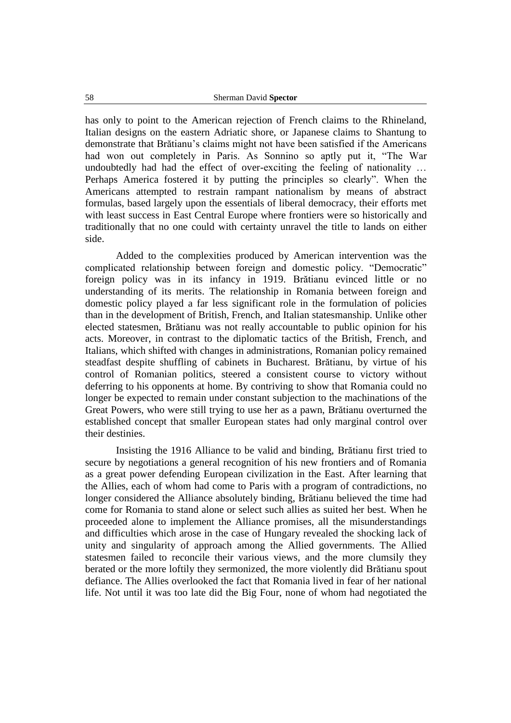has only to point to the American rejection of French claims to the Rhineland, Italian designs on the eastern Adriatic shore, or Japanese claims to Shantung to demonstrate that Brătianu's claims might not have been satisfied if the Americans had won out completely in Paris. As Sonnino so aptly put it, "The War undoubtedly had had the effect of over-exciting the feeling of nationality … Perhaps America fostered it by putting the principles so clearly". When the Americans attempted to restrain rampant nationalism by means of abstract formulas, based largely upon the essentials of liberal democracy, their efforts met with least success in East Central Europe where frontiers were so historically and traditionally that no one could with certainty unravel the title to lands on either side.

Added to the complexities produced by American intervention was the complicated relationship between foreign and domestic policy. "Democratic" foreign policy was in its infancy in 1919. Brătianu evinced little or no understanding of its merits. The relationship in Romania between foreign and domestic policy played a far less significant role in the formulation of policies than in the development of British, French, and Italian statesmanship. Unlike other elected statesmen, Brătianu was not really accountable to public opinion for his acts. Moreover, in contrast to the diplomatic tactics of the British, French, and Italians, which shifted with changes in administrations, Romanian policy remained steadfast despite shuffling of cabinets in Bucharest. Brătianu, by virtue of his control of Romanian politics, steered a consistent course to victory without deferring to his opponents at home. By contriving to show that Romania could no longer be expected to remain under constant subjection to the machinations of the Great Powers, who were still trying to use her as a pawn, Brătianu overturned the established concept that smaller European states had only marginal control over their destinies.

Insisting the 1916 Alliance to be valid and binding, Brătianu first tried to secure by negotiations a general recognition of his new frontiers and of Romania as a great power defending European civilization in the East. After learning that the Allies, each of whom had come to Paris with a program of contradictions, no longer considered the Alliance absolutely binding, Brătianu believed the time had come for Romania to stand alone or select such allies as suited her best. When he proceeded alone to implement the Alliance promises, all the misunderstandings and difficulties which arose in the case of Hungary revealed the shocking lack of unity and singularity of approach among the Allied governments. The Allied statesmen failed to reconcile their various views, and the more clumsily they berated or the more loftily they sermonized, the more violently did Brătianu spout defiance. The Allies overlooked the fact that Romania lived in fear of her national life. Not until it was too late did the Big Four, none of whom had negotiated the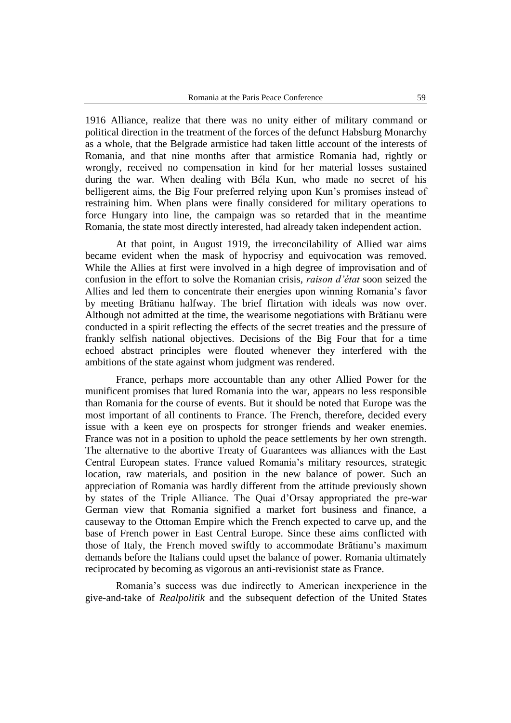1916 Alliance, realize that there was no unity either of military command or political direction in the treatment of the forces of the defunct Habsburg Monarchy as a whole, that the Belgrade armistice had taken little account of the interests of Romania, and that nine months after that armistice Romania had, rightly or wrongly, received no compensation in kind for her material losses sustained during the war. When dealing with Béla Kun, who made no secret of his belligerent aims, the Big Four preferred relying upon Kun's promises instead of restraining him. When plans were finally considered for military operations to force Hungary into line, the campaign was so retarded that in the meantime Romania, the state most directly interested, had already taken independent action.

At that point, in August 1919, the irreconcilability of Allied war aims became evident when the mask of hypocrisy and equivocation was removed. While the Allies at first were involved in a high degree of improvisation and of confusion in the effort to solve the Romanian crisis, *raison d'état* soon seized the Allies and led them to concentrate their energies upon winning Romania's favor by meeting Brătianu halfway. The brief flirtation with ideals was now over. Although not admitted at the time, the wearisome negotiations with Brătianu were conducted in a spirit reflecting the effects of the secret treaties and the pressure of frankly selfish national objectives. Decisions of the Big Four that for a time echoed abstract principles were flouted whenever they interfered with the ambitions of the state against whom judgment was rendered.

France, perhaps more accountable than any other Allied Power for the munificent promises that lured Romania into the war, appears no less responsible than Romania for the course of events. But it should be noted that Europe was the most important of all continents to France. The French, therefore, decided every issue with a keen eye on prospects for stronger friends and weaker enemies. France was not in a position to uphold the peace settlements by her own strength. The alternative to the abortive Treaty of Guarantees was alliances with the East Central European states. France valued Romania's military resources, strategic location, raw materials, and position in the new balance of power. Such an appreciation of Romania was hardly different from the attitude previously shown by states of the Triple Alliance. The Quai d'Orsay appropriated the pre-war German view that Romania signified a market fort business and finance, a causeway to the Ottoman Empire which the French expected to carve up, and the base of French power in East Central Europe. Since these aims conflicted with those of Italy, the French moved swiftly to accommodate Brătianu's maximum demands before the Italians could upset the balance of power. Romania ultimately reciprocated by becoming as vigorous an anti-revisionist state as France.

Romania's success was due indirectly to American inexperience in the give-and-take of *Realpolitik* and the subsequent defection of the United States